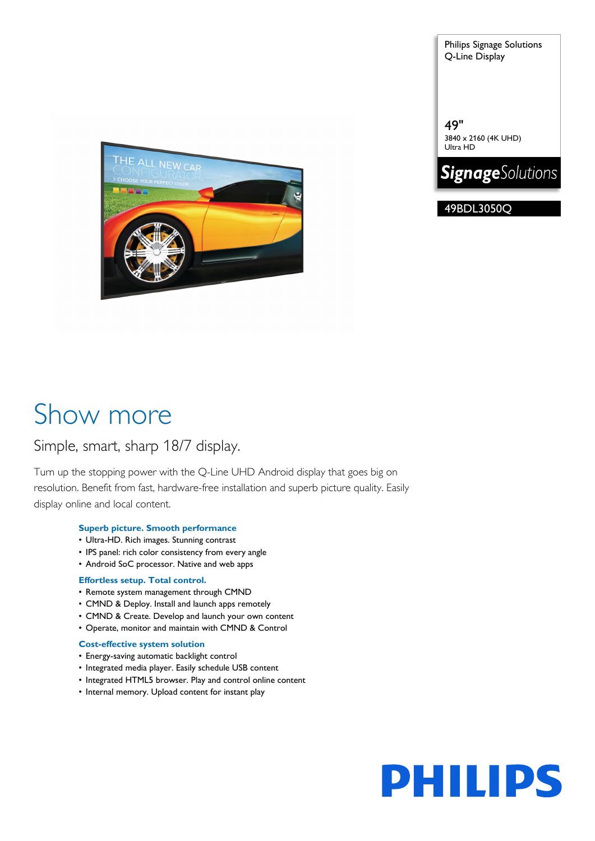THE ALL NEW CAR

Show more

# Simple, smart, sharp 18/7 display.

Turn up the stopping power with the Q-Line UHD Android display that goes big on resolution. Benefit from fast, hardware-free installation and superb picture quality. Easily display online and local content.

## **Superb picture. Smooth performance**

- Ultra-HD. Rich images. Stunning contrast
- IPS panel: rich color consistency from every angle
- Android SoC processor. Native and web apps

#### **Effortless setup. Total control.**

- Remote system management through CMND
- CMND & Deploy. Install and launch apps remotely
- CMND & Create. Develop and launch your own content
- Operate, monitor and maintain with CMND & Control

#### **Cost-effective system solution**

- Energy-saving automatic backlight control
- Integrated media player. Easily schedule USB content
- Integrated HTML5 browser. Play and control online content
- Internal memory. Upload content for instant play

49" 3840 x 2160 (4K UHD) Ultra HD

Q-Line Display

Philips Signage Solutions



49BDL3050Q

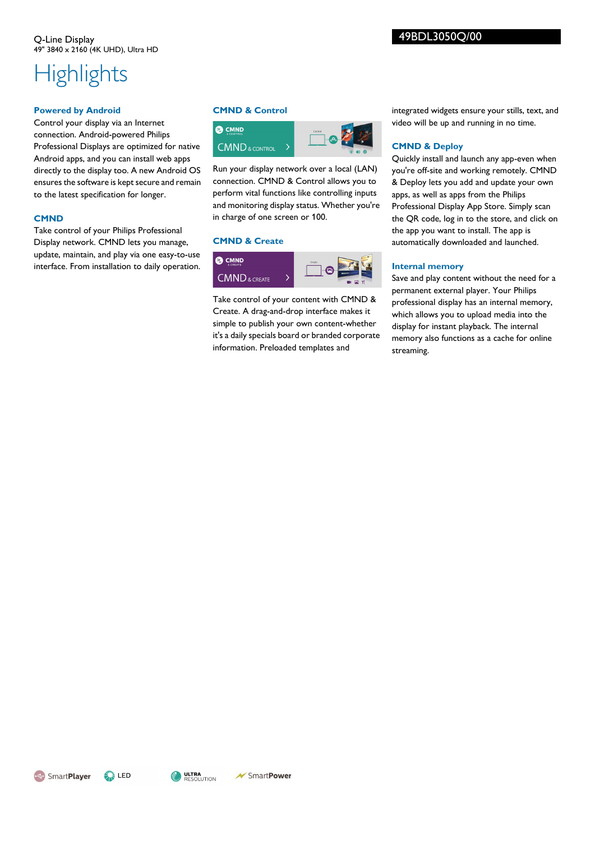# **Highlights**

#### **Powered by Android**

Control your display via an Internet connection. Android-powered Philips Professional Displays are optimized for native Android apps, and you can install web apps directly to the display too. A new Android OS ensures the software is kept secure and remain to the latest specification for longer.

#### **CMND**

Take control of your Philips Professional Display network. CMND lets you manage, update, maintain, and play via one easy-to-use interface. From installation to daily operation.

#### **CMND & Control**



Run your display network over a local (LAN) connection. CMND & Control allows you to perform vital functions like controlling inputs and monitoring display status. Whether you're in charge of one screen or 100.

#### **CMND & Create**



Take control of your content with CMND & Create. A drag-and-drop interface makes it simple to publish your own content-whether it's a daily specials board or branded corporate information. Preloaded templates and

integrated widgets ensure your stills, text, and video will be up and running in no time.

### **CMND & Deploy**

Quickly install and launch any app-even when you're off-site and working remotely. CMND & Deploy lets you add and update your own apps, as well as apps from the Philips Professional Display App Store. Simply scan the QR code, log in to the store, and click on the app you want to install. The app is automatically downloaded and launched.

#### **Internal memory**

Save and play content without the need for a permanent external player. Your Philips professional display has an internal memory, which allows you to upload media into the display for instant playback. The internal memory also functions as a cache for online streaming.

SmartPlayer



ULTRA<br>Resolution